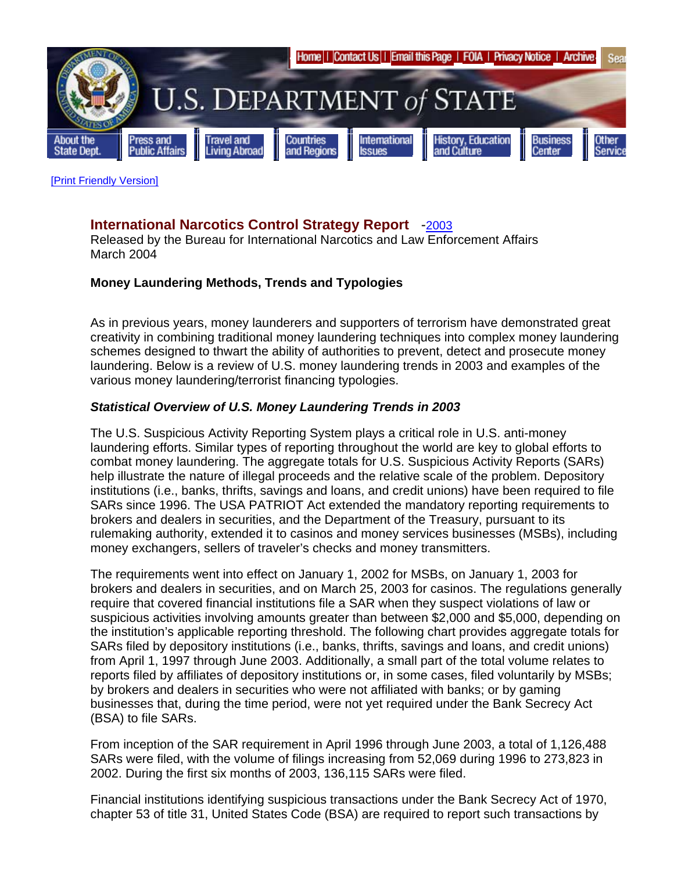

[Print Friendly Version]

# **International Narcotics Control Strategy Report** -2003

Released by the Bureau for International Narcotics and Law Enforcement Affairs March 2004

#### **Money Laundering Methods, Trends and Typologies**

As in previous years, money launderers and supporters of terrorism have demonstrated great creativity in combining traditional money laundering techniques into complex money laundering schemes designed to thwart the ability of authorities to prevent, detect and prosecute money laundering. Below is a review of U.S. money laundering trends in 2003 and examples of the various money laundering/terrorist financing typologies.

#### *Statistical Overview of U.S. Money Laundering Trends in 2003*

The U.S. Suspicious Activity Reporting System plays a critical role in U.S. anti-money laundering efforts. Similar types of reporting throughout the world are key to global efforts to combat money laundering. The aggregate totals for U.S. Suspicious Activity Reports (SARs) help illustrate the nature of illegal proceeds and the relative scale of the problem. Depository institutions (i.e., banks, thrifts, savings and loans, and credit unions) have been required to file SARs since 1996. The USA PATRIOT Act extended the mandatory reporting requirements to brokers and dealers in securities, and the Department of the Treasury, pursuant to its rulemaking authority, extended it to casinos and money services businesses (MSBs), including money exchangers, sellers of traveler's checks and money transmitters.

The requirements went into effect on January 1, 2002 for MSBs, on January 1, 2003 for brokers and dealers in securities, and on March 25, 2003 for casinos. The regulations generally require that covered financial institutions file a SAR when they suspect violations of law or suspicious activities involving amounts greater than between \$2,000 and \$5,000, depending on the institution's applicable reporting threshold. The following chart provides aggregate totals for SARs filed by depository institutions (i.e., banks, thrifts, savings and loans, and credit unions) from April 1, 1997 through June 2003. Additionally, a small part of the total volume relates to reports filed by affiliates of depository institutions or, in some cases, filed voluntarily by MSBs; by brokers and dealers in securities who were not affiliated with banks; or by gaming businesses that, during the time period, were not yet required under the Bank Secrecy Act (BSA) to file SARs.

From inception of the SAR requirement in April 1996 through June 2003, a total of 1,126,488 SARs were filed, with the volume of filings increasing from 52,069 during 1996 to 273,823 in 2002. During the first six months of 2003, 136,115 SARs were filed.

Financial institutions identifying suspicious transactions under the Bank Secrecy Act of 1970, chapter 53 of title 31, United States Code (BSA) are required to report such transactions by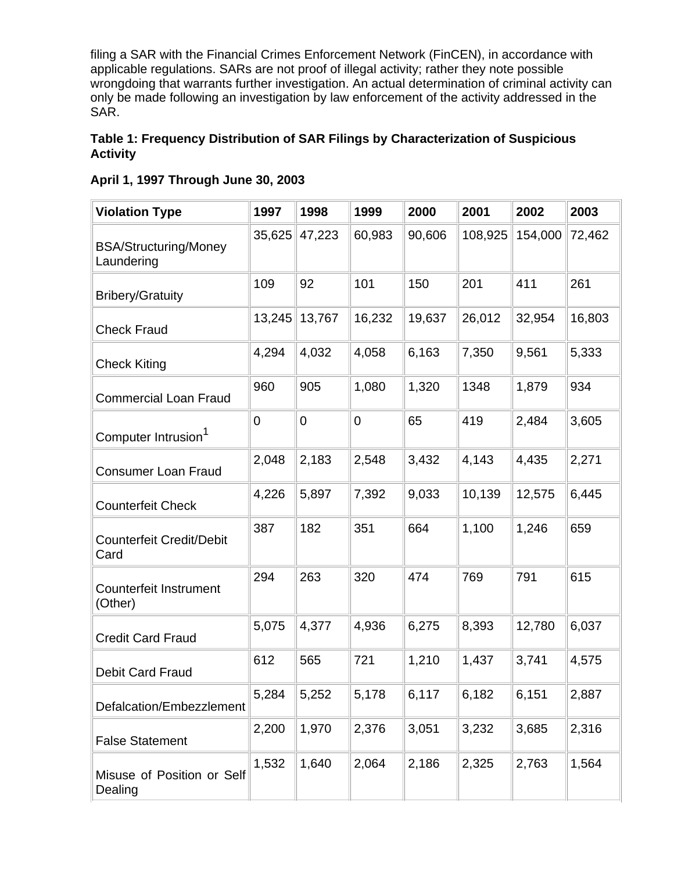filing a SAR with the Financial Crimes Enforcement Network (FinCEN), in accordance with applicable regulations. SARs are not proof of illegal activity; rather they note possible wrongdoing that warrants further investigation. An actual determination of criminal activity can only be made following an investigation by law enforcement of the activity addressed in the SAR.

## **Table 1: Frequency Distribution of SAR Filings by Characterization of Suspicious Activity**

| <b>Violation Type</b>                      | 1997   | 1998   | 1999           | 2000   | 2001    | 2002    | 2003   |
|--------------------------------------------|--------|--------|----------------|--------|---------|---------|--------|
| <b>BSA/Structuring/Money</b><br>Laundering | 35,625 | 47,223 | 60,983         | 90,606 | 108,925 | 154,000 | 72,462 |
| <b>Bribery/Gratuity</b>                    | 109    | 92     | 101            | 150    | 201     | 411     | 261    |
| <b>Check Fraud</b>                         | 13,245 | 13,767 | 16,232         | 19,637 | 26,012  | 32,954  | 16,803 |
| <b>Check Kiting</b>                        | 4,294  | 4,032  | 4,058          | 6,163  | 7,350   | 9,561   | 5,333  |
| <b>Commercial Loan Fraud</b>               | 960    | 905    | 1,080          | 1,320  | 1348    | 1,879   | 934    |
| Computer Intrusion <sup>1</sup>            | 0      | 0      | $\overline{0}$ | 65     | 419     | 2,484   | 3,605  |
| <b>Consumer Loan Fraud</b>                 | 2,048  | 2,183  | 2,548          | 3,432  | 4,143   | 4,435   | 2,271  |
| <b>Counterfeit Check</b>                   | 4,226  | 5,897  | 7,392          | 9,033  | 10,139  | 12,575  | 6,445  |
| <b>Counterfeit Credit/Debit</b><br>Card    | 387    | 182    | 351            | 664    | 1,100   | 1,246   | 659    |
| <b>Counterfeit Instrument</b><br>(Other)   | 294    | 263    | 320            | 474    | 769     | 791     | 615    |
| <b>Credit Card Fraud</b>                   | 5,075  | 4,377  | 4,936          | 6,275  | 8,393   | 12,780  | 6,037  |
| <b>Debit Card Fraud</b>                    | 612    | 565    | 721            | 1,210  | 1,437   | 3,741   | 4,575  |
| Defalcation/Embezzlement                   | 5,284  | 5,252  | 5,178          | 6,117  | 6,182   | 6,151   | 2,887  |
| <b>False Statement</b>                     | 2,200  | 1,970  | 2,376          | 3,051  | 3,232   | 3,685   | 2,316  |
| Misuse of Position or Self<br>Dealing      | 1,532  | 1,640  | 2,064          | 2,186  | 2,325   | 2,763   | 1,564  |

#### **April 1, 1997 Through June 30, 2003**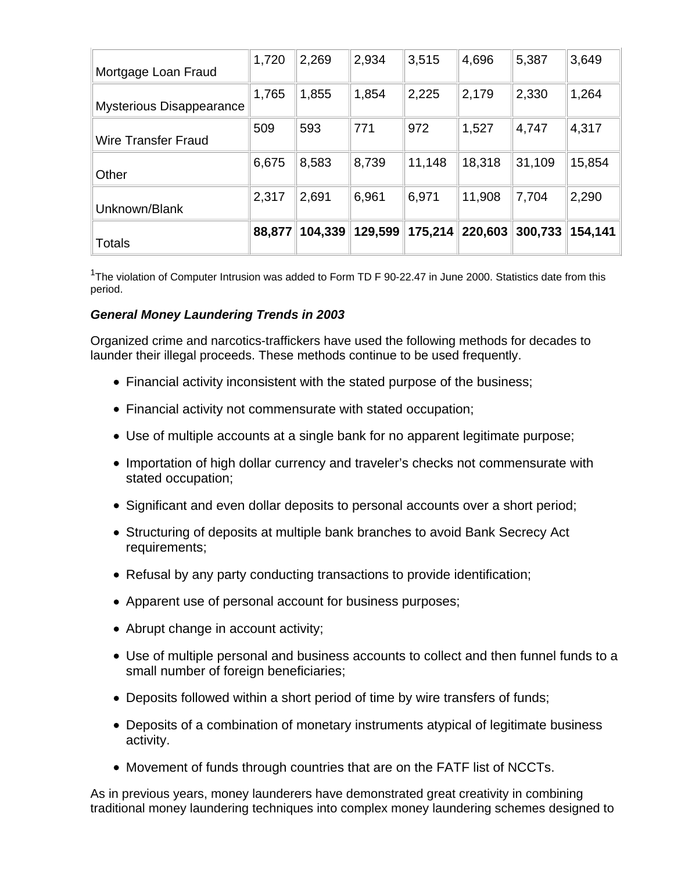| Mortgage Loan Fraud             | 1,720  | 2,269   | 2,934   | 3,515   | 4,696   | 5,387   | 3,649   |
|---------------------------------|--------|---------|---------|---------|---------|---------|---------|
| <b>Mysterious Disappearance</b> | 1,765  | 1,855   | 1,854   | 2,225   | 2,179   | 2,330   | 1,264   |
| Wire Transfer Fraud             | 509    | 593     | 771     | 972     | 1,527   | 4,747   | 4,317   |
| Other                           | 6,675  | 8,583   | 8,739   | 11,148  | 18,318  | 31,109  | 15,854  |
| Unknown/Blank                   | 2,317  | 2,691   | 6,961   | 6,971   | 11,908  | 7,704   | 2,290   |
| <b>Totals</b>                   | 88,877 | 104,339 | 129,599 | 175,214 | 220,603 | 300,733 | 154,141 |

<sup>1</sup>The violation of Computer Intrusion was added to Form TD F 90-22.47 in June 2000. Statistics date from this period.

#### *General Money Laundering Trends in 2003*

Organized crime and narcotics-traffickers have used the following methods for decades to launder their illegal proceeds. These methods continue to be used frequently.

- Financial activity inconsistent with the stated purpose of the business;
- Financial activity not commensurate with stated occupation;
- Use of multiple accounts at a single bank for no apparent legitimate purpose;
- Importation of high dollar currency and traveler's checks not commensurate with stated occupation;
- Significant and even dollar deposits to personal accounts over a short period;
- Structuring of deposits at multiple bank branches to avoid Bank Secrecy Act requirements;
- Refusal by any party conducting transactions to provide identification;
- Apparent use of personal account for business purposes;
- Abrupt change in account activity;
- Use of multiple personal and business accounts to collect and then funnel funds to a small number of foreign beneficiaries;
- Deposits followed within a short period of time by wire transfers of funds;
- Deposits of a combination of monetary instruments atypical of legitimate business activity.
- Movement of funds through countries that are on the FATF list of NCCTs.

As in previous years, money launderers have demonstrated great creativity in combining traditional money laundering techniques into complex money laundering schemes designed to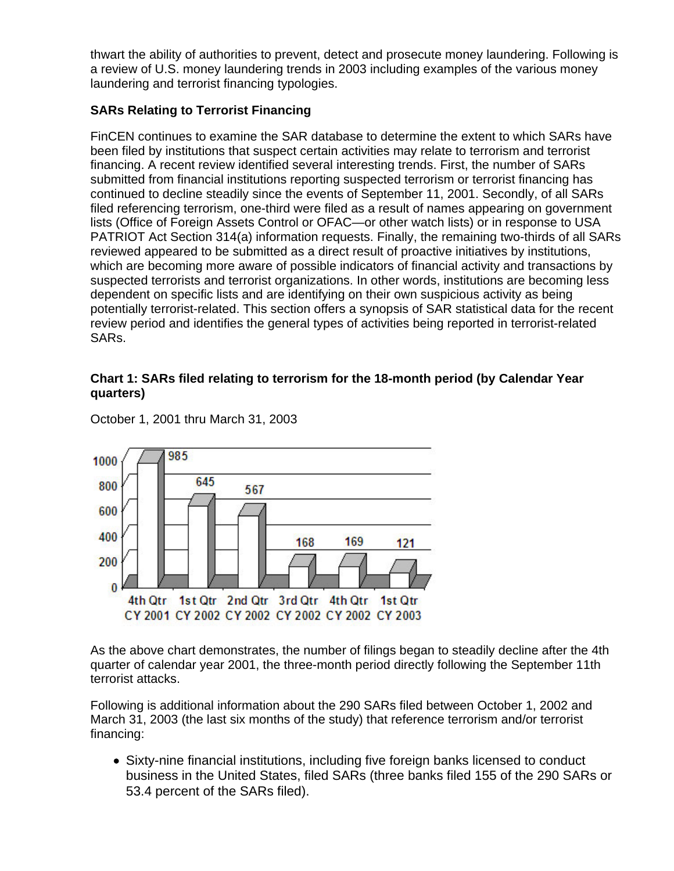thwart the ability of authorities to prevent, detect and prosecute money laundering. Following is a review of U.S. money laundering trends in 2003 including examples of the various money laundering and terrorist financing typologies.

## **SARs Relating to Terrorist Financing**

FinCEN continues to examine the SAR database to determine the extent to which SARs have been filed by institutions that suspect certain activities may relate to terrorism and terrorist financing. A recent review identified several interesting trends. First, the number of SARs submitted from financial institutions reporting suspected terrorism or terrorist financing has continued to decline steadily since the events of September 11, 2001. Secondly, of all SARs filed referencing terrorism, one-third were filed as a result of names appearing on government lists (Office of Foreign Assets Control or OFAC—or other watch lists) or in response to USA PATRIOT Act Section 314(a) information requests. Finally, the remaining two-thirds of all SARs reviewed appeared to be submitted as a direct result of proactive initiatives by institutions, which are becoming more aware of possible indicators of financial activity and transactions by suspected terrorists and terrorist organizations. In other words, institutions are becoming less dependent on specific lists and are identifying on their own suspicious activity as being potentially terrorist-related. This section offers a synopsis of SAR statistical data for the recent review period and identifies the general types of activities being reported in terrorist-related SARs.

# **Chart 1: SARs filed relating to terrorism for the 18-month period (by Calendar Year quarters)**



October 1, 2001 thru March 31, 2003

As the above chart demonstrates, the number of filings began to steadily decline after the 4th quarter of calendar year 2001, the three-month period directly following the September 11th terrorist attacks.

Following is additional information about the 290 SARs filed between October 1, 2002 and March 31, 2003 (the last six months of the study) that reference terrorism and/or terrorist financing:

Sixty-nine financial institutions, including five foreign banks licensed to conduct business in the United States, filed SARs (three banks filed 155 of the 290 SARs or 53.4 percent of the SARs filed).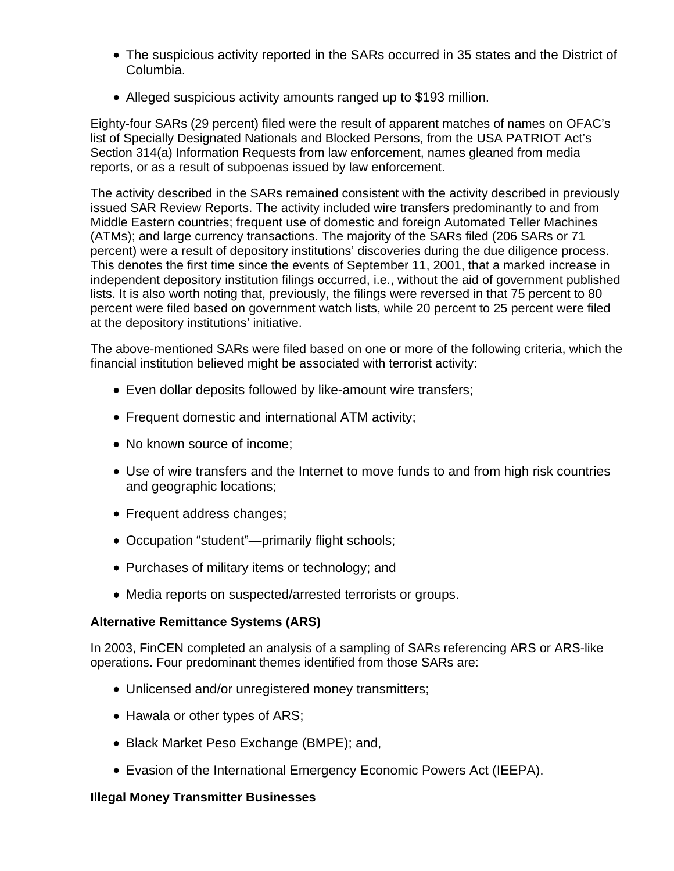- The suspicious activity reported in the SARs occurred in 35 states and the District of Columbia.
- Alleged suspicious activity amounts ranged up to \$193 million.

Eighty-four SARs (29 percent) filed were the result of apparent matches of names on OFAC's list of Specially Designated Nationals and Blocked Persons, from the USA PATRIOT Act's Section 314(a) Information Requests from law enforcement, names gleaned from media reports, or as a result of subpoenas issued by law enforcement.

The activity described in the SARs remained consistent with the activity described in previously issued SAR Review Reports. The activity included wire transfers predominantly to and from Middle Eastern countries; frequent use of domestic and foreign Automated Teller Machines (ATMs); and large currency transactions. The majority of the SARs filed (206 SARs or 71 percent) were a result of depository institutions' discoveries during the due diligence process. This denotes the first time since the events of September 11, 2001, that a marked increase in independent depository institution filings occurred, i.e., without the aid of government published lists. It is also worth noting that, previously, the filings were reversed in that 75 percent to 80 percent were filed based on government watch lists, while 20 percent to 25 percent were filed at the depository institutions' initiative.

The above-mentioned SARs were filed based on one or more of the following criteria, which the financial institution believed might be associated with terrorist activity:

- Even dollar deposits followed by like-amount wire transfers;
- Frequent domestic and international ATM activity;
- No known source of income:
- Use of wire transfers and the Internet to move funds to and from high risk countries and geographic locations;
- Frequent address changes;
- Occupation "student"—primarily flight schools;
- Purchases of military items or technology; and
- Media reports on suspected/arrested terrorists or groups.

### **Alternative Remittance Systems (ARS)**

In 2003, FinCEN completed an analysis of a sampling of SARs referencing ARS or ARS-like operations. Four predominant themes identified from those SARs are:

- Unlicensed and/or unregistered money transmitters;
- Hawala or other types of ARS;
- Black Market Peso Exchange (BMPE); and,
- Evasion of the International Emergency Economic Powers Act (IEEPA).

### **Illegal Money Transmitter Businesses**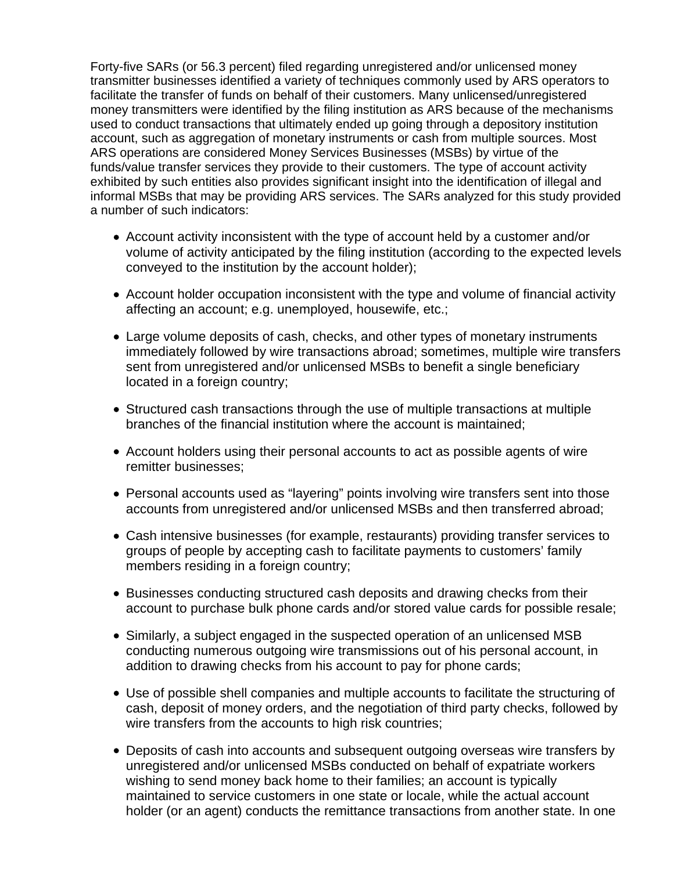Forty-five SARs (or 56.3 percent) filed regarding unregistered and/or unlicensed money transmitter businesses identified a variety of techniques commonly used by ARS operators to facilitate the transfer of funds on behalf of their customers. Many unlicensed/unregistered money transmitters were identified by the filing institution as ARS because of the mechanisms used to conduct transactions that ultimately ended up going through a depository institution account, such as aggregation of monetary instruments or cash from multiple sources. Most ARS operations are considered Money Services Businesses (MSBs) by virtue of the funds/value transfer services they provide to their customers. The type of account activity exhibited by such entities also provides significant insight into the identification of illegal and informal MSBs that may be providing ARS services. The SARs analyzed for this study provided a number of such indicators:

- Account activity inconsistent with the type of account held by a customer and/or volume of activity anticipated by the filing institution (according to the expected levels conveyed to the institution by the account holder);
- Account holder occupation inconsistent with the type and volume of financial activity affecting an account; e.g. unemployed, housewife, etc.;
- Large volume deposits of cash, checks, and other types of monetary instruments immediately followed by wire transactions abroad; sometimes, multiple wire transfers sent from unregistered and/or unlicensed MSBs to benefit a single beneficiary located in a foreign country;
- Structured cash transactions through the use of multiple transactions at multiple branches of the financial institution where the account is maintained;
- Account holders using their personal accounts to act as possible agents of wire remitter businesses;
- Personal accounts used as "layering" points involving wire transfers sent into those accounts from unregistered and/or unlicensed MSBs and then transferred abroad;
- Cash intensive businesses (for example, restaurants) providing transfer services to groups of people by accepting cash to facilitate payments to customers' family members residing in a foreign country;
- Businesses conducting structured cash deposits and drawing checks from their account to purchase bulk phone cards and/or stored value cards for possible resale;
- Similarly, a subject engaged in the suspected operation of an unlicensed MSB conducting numerous outgoing wire transmissions out of his personal account, in addition to drawing checks from his account to pay for phone cards;
- Use of possible shell companies and multiple accounts to facilitate the structuring of cash, deposit of money orders, and the negotiation of third party checks, followed by wire transfers from the accounts to high risk countries;
- Deposits of cash into accounts and subsequent outgoing overseas wire transfers by unregistered and/or unlicensed MSBs conducted on behalf of expatriate workers wishing to send money back home to their families; an account is typically maintained to service customers in one state or locale, while the actual account holder (or an agent) conducts the remittance transactions from another state. In one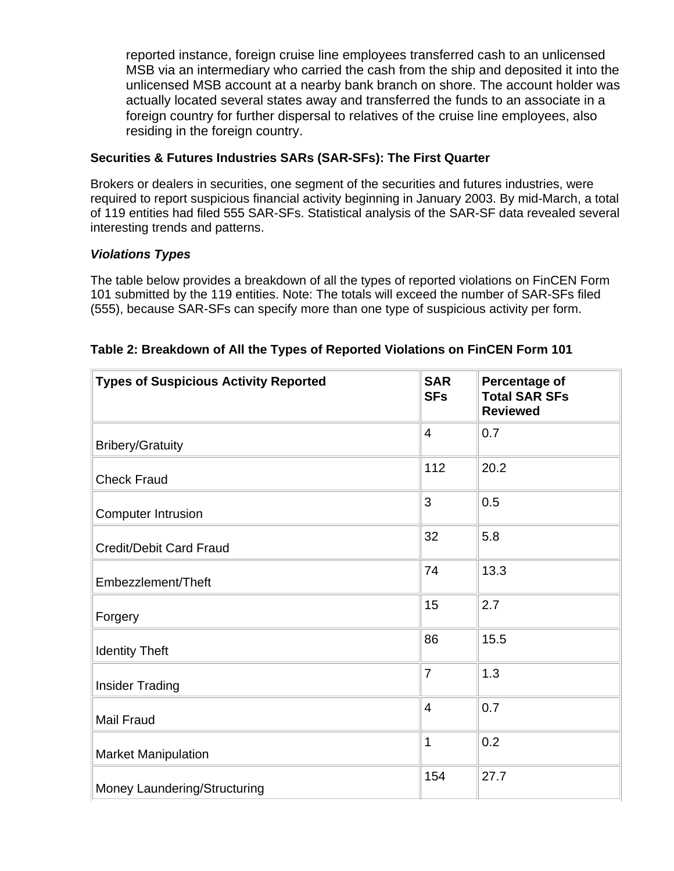reported instance, foreign cruise line employees transferred cash to an unlicensed MSB via an intermediary who carried the cash from the ship and deposited it into the unlicensed MSB account at a nearby bank branch on shore. The account holder was actually located several states away and transferred the funds to an associate in a foreign country for further dispersal to relatives of the cruise line employees, also residing in the foreign country.

## **Securities & Futures Industries SARs (SAR-SFs): The First Quarter**

Brokers or dealers in securities, one segment of the securities and futures industries, were required to report suspicious financial activity beginning in January 2003. By mid-March, a total of 119 entities had filed 555 SAR-SFs. Statistical analysis of the SAR-SF data revealed several interesting trends and patterns.

### *Violations Types*

The table below provides a breakdown of all the types of reported violations on FinCEN Form 101 submitted by the 119 entities. Note: The totals will exceed the number of SAR-SFs filed (555), because SAR-SFs can specify more than one type of suspicious activity per form.

| <b>Types of Suspicious Activity Reported</b> | <b>SAR</b><br><b>SFs</b> | Percentage of<br><b>Total SAR SFs</b><br><b>Reviewed</b> |
|----------------------------------------------|--------------------------|----------------------------------------------------------|
| <b>Bribery/Gratuity</b>                      | $\overline{4}$           | 0.7                                                      |
| <b>Check Fraud</b>                           | 112                      | 20.2                                                     |
| <b>Computer Intrusion</b>                    | 3                        | 0.5                                                      |
| <b>Credit/Debit Card Fraud</b>               | 32                       | 5.8                                                      |
| Embezzlement/Theft                           | 74                       | 13.3                                                     |
| Forgery                                      | 15                       | 2.7                                                      |
| <b>Identity Theft</b>                        | 86                       | 15.5                                                     |
| <b>Insider Trading</b>                       | $\overline{7}$           | 1.3                                                      |
| Mail Fraud                                   | $\overline{4}$           | 0.7                                                      |
| <b>Market Manipulation</b>                   | 1                        | 0.2                                                      |
| Money Laundering/Structuring                 | 154                      | 27.7                                                     |

|  |  | Table 2: Breakdown of All the Types of Reported Violations on FinCEN Form 101 |
|--|--|-------------------------------------------------------------------------------|
|  |  |                                                                               |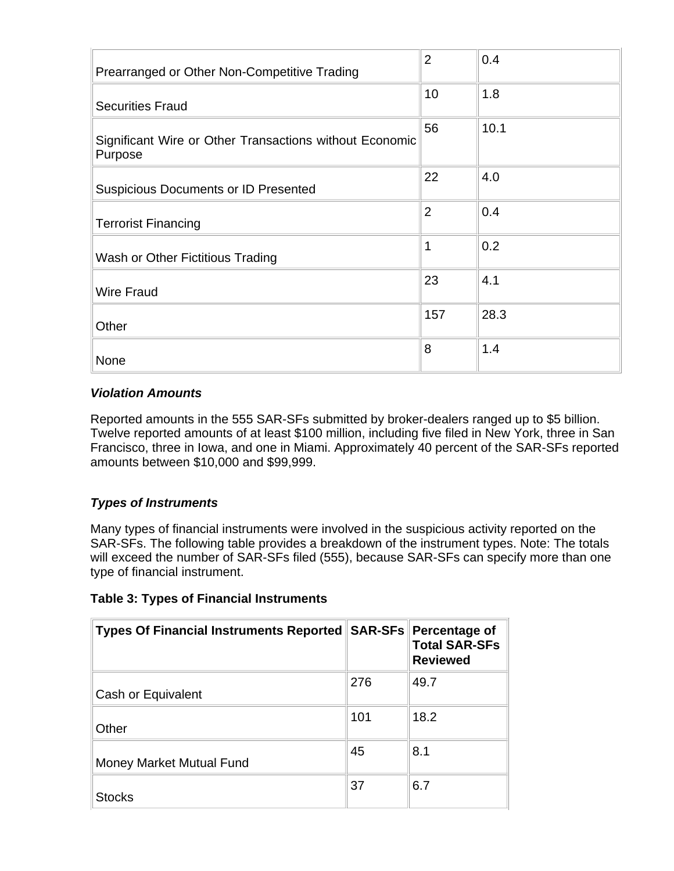| Prearranged or Other Non-Competitive Trading                       | $\overline{2}$ | 0.4  |
|--------------------------------------------------------------------|----------------|------|
| <b>Securities Fraud</b>                                            | 10             | 1.8  |
| Significant Wire or Other Transactions without Economic<br>Purpose | 56             | 10.1 |
| <b>Suspicious Documents or ID Presented</b>                        | 22             | 4.0  |
| <b>Terrorist Financing</b>                                         | $\overline{2}$ | 0.4  |
| Wash or Other Fictitious Trading                                   | 1              | 0.2  |
| <b>Wire Fraud</b>                                                  | 23             | 4.1  |
| Other                                                              | 157            | 28.3 |
| None                                                               | 8              | 1.4  |

### *Violation Amounts*

Reported amounts in the 555 SAR-SFs submitted by broker-dealers ranged up to \$5 billion. Twelve reported amounts of at least \$100 million, including five filed in New York, three in San Francisco, three in Iowa, and one in Miami. Approximately 40 percent of the SAR-SFs reported amounts between \$10,000 and \$99,999.

### *Types of Instruments*

Many types of financial instruments were involved in the suspicious activity reported on the SAR-SFs. The following table provides a breakdown of the instrument types. Note: The totals will exceed the number of SAR-SFs filed (555), because SAR-SFs can specify more than one type of financial instrument.

#### **Table 3: Types of Financial Instruments**

| Types Of Financial Instruments Reported SAR-SFs Percentage of |     | <b>Total SAR-SFs</b><br><b>Reviewed</b> |
|---------------------------------------------------------------|-----|-----------------------------------------|
| Cash or Equivalent                                            | 276 | 49.7                                    |
| Other                                                         | 101 | 18.2                                    |
| Money Market Mutual Fund                                      | 45  | 8.1                                     |
| <b>Stocks</b>                                                 | 37  | 6.7                                     |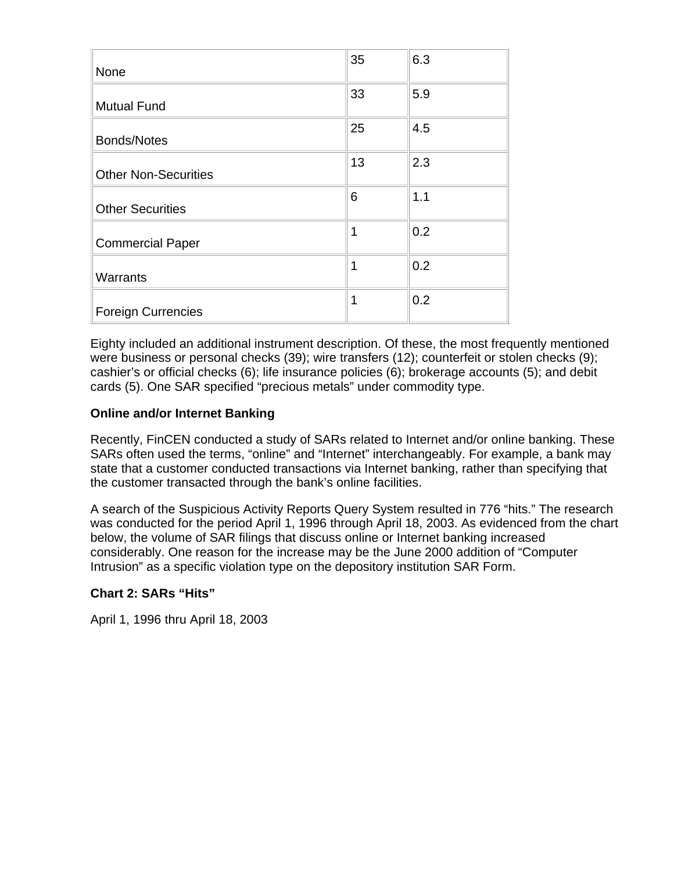| None                        | 35 | 6.3 |
|-----------------------------|----|-----|
| <b>Mutual Fund</b>          | 33 | 5.9 |
| <b>Bonds/Notes</b>          | 25 | 4.5 |
| <b>Other Non-Securities</b> | 13 | 2.3 |
| <b>Other Securities</b>     | 6  | 1.1 |
| <b>Commercial Paper</b>     | 1  | 0.2 |
| Warrants                    | 1  | 0.2 |
| <b>Foreign Currencies</b>   | 1  | 0.2 |

Eighty included an additional instrument description. Of these, the most frequently mentioned were business or personal checks (39); wire transfers (12); counterfeit or stolen checks (9); cashier's or official checks (6); life insurance policies (6); brokerage accounts (5); and debit cards (5). One SAR specified "precious metals" under commodity type.

### **Online and/or Internet Banking**

Recently, FinCEN conducted a study of SARs related to Internet and/or online banking. These SARs often used the terms, "online" and "Internet" interchangeably. For example, a bank may state that a customer conducted transactions via Internet banking, rather than specifying that the customer transacted through the bank's online facilities.

A search of the Suspicious Activity Reports Query System resulted in 776 "hits." The research was conducted for the period April 1, 1996 through April 18, 2003. As evidenced from the chart below, the volume of SAR filings that discuss online or Internet banking increased considerably. One reason for the increase may be the June 2000 addition of "Computer Intrusion" as a specific violation type on the depository institution SAR Form.

#### **Chart 2: SARs "Hits"**

April 1, 1996 thru April 18, 2003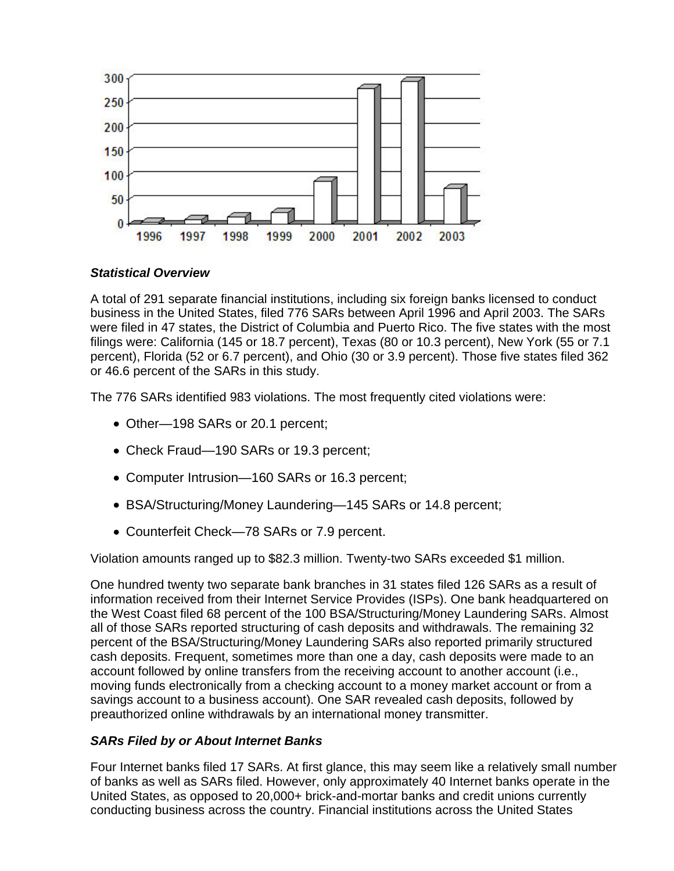

#### *Statistical Overview*

A total of 291 separate financial institutions, including six foreign banks licensed to conduct business in the United States, filed 776 SARs between April 1996 and April 2003. The SARs were filed in 47 states, the District of Columbia and Puerto Rico. The five states with the most filings were: California (145 or 18.7 percent), Texas (80 or 10.3 percent), New York (55 or 7.1 percent), Florida (52 or 6.7 percent), and Ohio (30 or 3.9 percent). Those five states filed 362 or 46.6 percent of the SARs in this study.

The 776 SARs identified 983 violations. The most frequently cited violations were:

- Other-198 SARs or 20.1 percent;
- Check Fraud—190 SARs or 19.3 percent;
- Computer Intrusion—160 SARs or 16.3 percent;
- BSA/Structuring/Money Laundering—145 SARs or 14.8 percent;
- Counterfeit Check—78 SARs or 7.9 percent.

Violation amounts ranged up to \$82.3 million. Twenty-two SARs exceeded \$1 million.

One hundred twenty two separate bank branches in 31 states filed 126 SARs as a result of information received from their Internet Service Provides (ISPs). One bank headquartered on the West Coast filed 68 percent of the 100 BSA/Structuring/Money Laundering SARs. Almost all of those SARs reported structuring of cash deposits and withdrawals. The remaining 32 percent of the BSA/Structuring/Money Laundering SARs also reported primarily structured cash deposits. Frequent, sometimes more than one a day, cash deposits were made to an account followed by online transfers from the receiving account to another account (i.e., moving funds electronically from a checking account to a money market account or from a savings account to a business account). One SAR revealed cash deposits, followed by preauthorized online withdrawals by an international money transmitter.

### *SARs Filed by or About Internet Banks*

Four Internet banks filed 17 SARs. At first glance, this may seem like a relatively small number of banks as well as SARs filed. However, only approximately 40 Internet banks operate in the United States, as opposed to 20,000+ brick-and-mortar banks and credit unions currently conducting business across the country. Financial institutions across the United States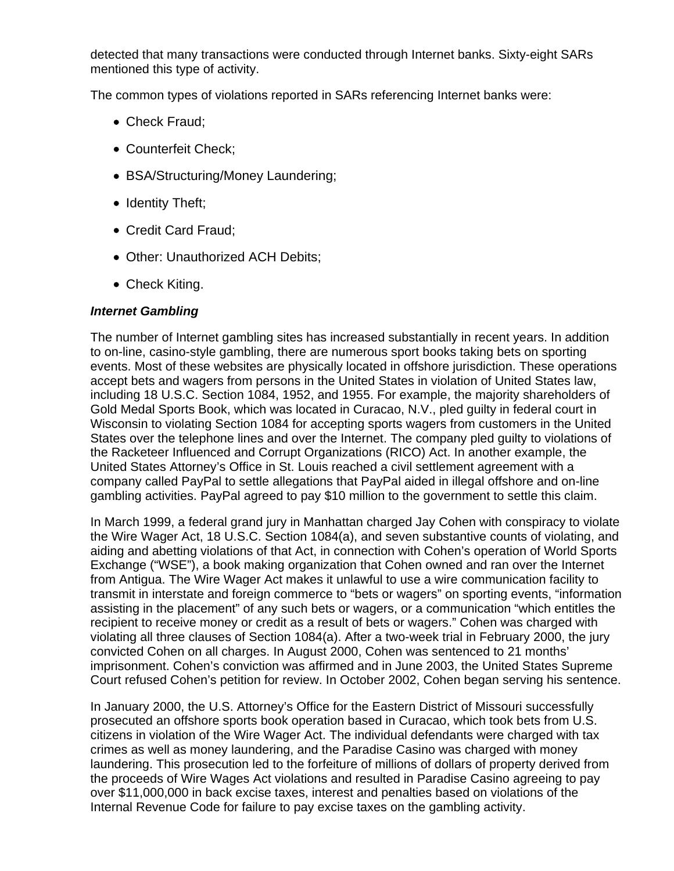detected that many transactions were conducted through Internet banks. Sixty-eight SARs mentioned this type of activity.

The common types of violations reported in SARs referencing Internet banks were:

- Check Fraud;
- Counterfeit Check;
- BSA/Structuring/Money Laundering;
- Identity Theft;
- Credit Card Fraud;
- Other: Unauthorized ACH Debits;
- Check Kiting.

#### *Internet Gambling*

The number of Internet gambling sites has increased substantially in recent years. In addition to on-line, casino-style gambling, there are numerous sport books taking bets on sporting events. Most of these websites are physically located in offshore jurisdiction. These operations accept bets and wagers from persons in the United States in violation of United States law, including 18 U.S.C. Section 1084, 1952, and 1955. For example, the majority shareholders of Gold Medal Sports Book, which was located in Curacao, N.V., pled guilty in federal court in Wisconsin to violating Section 1084 for accepting sports wagers from customers in the United States over the telephone lines and over the Internet. The company pled guilty to violations of the Racketeer Influenced and Corrupt Organizations (RICO) Act. In another example, the United States Attorney's Office in St. Louis reached a civil settlement agreement with a company called PayPal to settle allegations that PayPal aided in illegal offshore and on-line gambling activities. PayPal agreed to pay \$10 million to the government to settle this claim.

In March 1999, a federal grand jury in Manhattan charged Jay Cohen with conspiracy to violate the Wire Wager Act, 18 U.S.C. Section 1084(a), and seven substantive counts of violating, and aiding and abetting violations of that Act, in connection with Cohen's operation of World Sports Exchange ("WSE"), a book making organization that Cohen owned and ran over the Internet from Antigua. The Wire Wager Act makes it unlawful to use a wire communication facility to transmit in interstate and foreign commerce to "bets or wagers" on sporting events, "information assisting in the placement" of any such bets or wagers, or a communication "which entitles the recipient to receive money or credit as a result of bets or wagers." Cohen was charged with violating all three clauses of Section 1084(a). After a two-week trial in February 2000, the jury convicted Cohen on all charges. In August 2000, Cohen was sentenced to 21 months' imprisonment. Cohen's conviction was affirmed and in June 2003, the United States Supreme Court refused Cohen's petition for review. In October 2002, Cohen began serving his sentence.

In January 2000, the U.S. Attorney's Office for the Eastern District of Missouri successfully prosecuted an offshore sports book operation based in Curacao, which took bets from U.S. citizens in violation of the Wire Wager Act. The individual defendants were charged with tax crimes as well as money laundering, and the Paradise Casino was charged with money laundering. This prosecution led to the forfeiture of millions of dollars of property derived from the proceeds of Wire Wages Act violations and resulted in Paradise Casino agreeing to pay over \$11,000,000 in back excise taxes, interest and penalties based on violations of the Internal Revenue Code for failure to pay excise taxes on the gambling activity.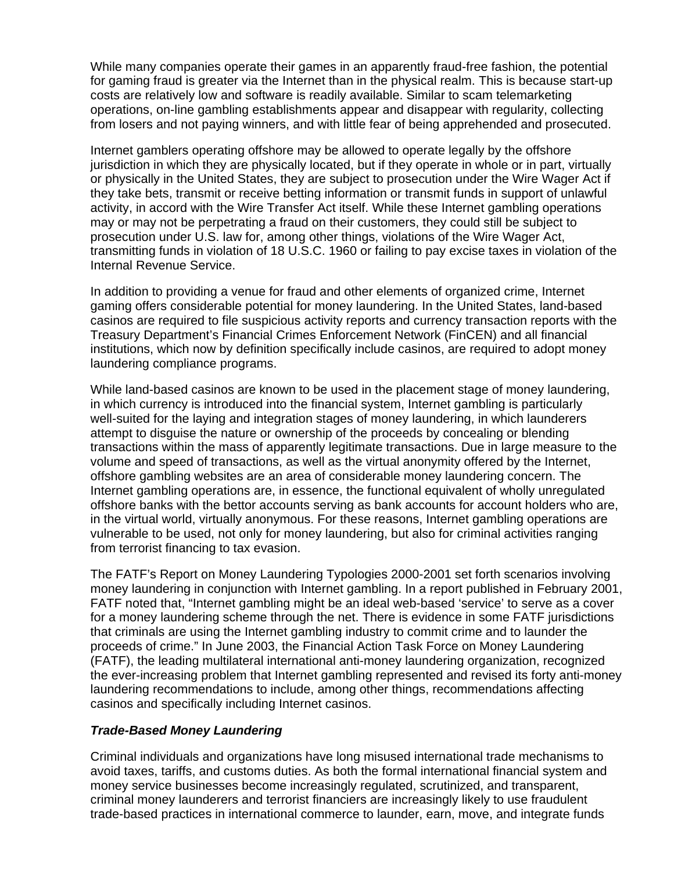While many companies operate their games in an apparently fraud-free fashion, the potential for gaming fraud is greater via the Internet than in the physical realm. This is because start-up costs are relatively low and software is readily available. Similar to scam telemarketing operations, on-line gambling establishments appear and disappear with regularity, collecting from losers and not paying winners, and with little fear of being apprehended and prosecuted.

Internet gamblers operating offshore may be allowed to operate legally by the offshore jurisdiction in which they are physically located, but if they operate in whole or in part, virtually or physically in the United States, they are subject to prosecution under the Wire Wager Act if they take bets, transmit or receive betting information or transmit funds in support of unlawful activity, in accord with the Wire Transfer Act itself. While these Internet gambling operations may or may not be perpetrating a fraud on their customers, they could still be subject to prosecution under U.S. law for, among other things, violations of the Wire Wager Act, transmitting funds in violation of 18 U.S.C. 1960 or failing to pay excise taxes in violation of the Internal Revenue Service.

In addition to providing a venue for fraud and other elements of organized crime, Internet gaming offers considerable potential for money laundering. In the United States, land-based casinos are required to file suspicious activity reports and currency transaction reports with the Treasury Department's Financial Crimes Enforcement Network (FinCEN) and all financial institutions, which now by definition specifically include casinos, are required to adopt money laundering compliance programs.

While land-based casinos are known to be used in the placement stage of money laundering, in which currency is introduced into the financial system, Internet gambling is particularly well-suited for the laying and integration stages of money laundering, in which launderers attempt to disguise the nature or ownership of the proceeds by concealing or blending transactions within the mass of apparently legitimate transactions. Due in large measure to the volume and speed of transactions, as well as the virtual anonymity offered by the Internet, offshore gambling websites are an area of considerable money laundering concern. The Internet gambling operations are, in essence, the functional equivalent of wholly unregulated offshore banks with the bettor accounts serving as bank accounts for account holders who are, in the virtual world, virtually anonymous. For these reasons, Internet gambling operations are vulnerable to be used, not only for money laundering, but also for criminal activities ranging from terrorist financing to tax evasion.

The FATF's Report on Money Laundering Typologies 2000-2001 set forth scenarios involving money laundering in conjunction with Internet gambling. In a report published in February 2001, FATF noted that, "Internet gambling might be an ideal web-based 'service' to serve as a cover for a money laundering scheme through the net. There is evidence in some FATF jurisdictions that criminals are using the Internet gambling industry to commit crime and to launder the proceeds of crime." In June 2003, the Financial Action Task Force on Money Laundering (FATF), the leading multilateral international anti-money laundering organization, recognized the ever-increasing problem that Internet gambling represented and revised its forty anti-money laundering recommendations to include, among other things, recommendations affecting casinos and specifically including Internet casinos.

#### *Trade-Based Money Laundering*

Criminal individuals and organizations have long misused international trade mechanisms to avoid taxes, tariffs, and customs duties. As both the formal international financial system and money service businesses become increasingly regulated, scrutinized, and transparent, criminal money launderers and terrorist financiers are increasingly likely to use fraudulent trade-based practices in international commerce to launder, earn, move, and integrate funds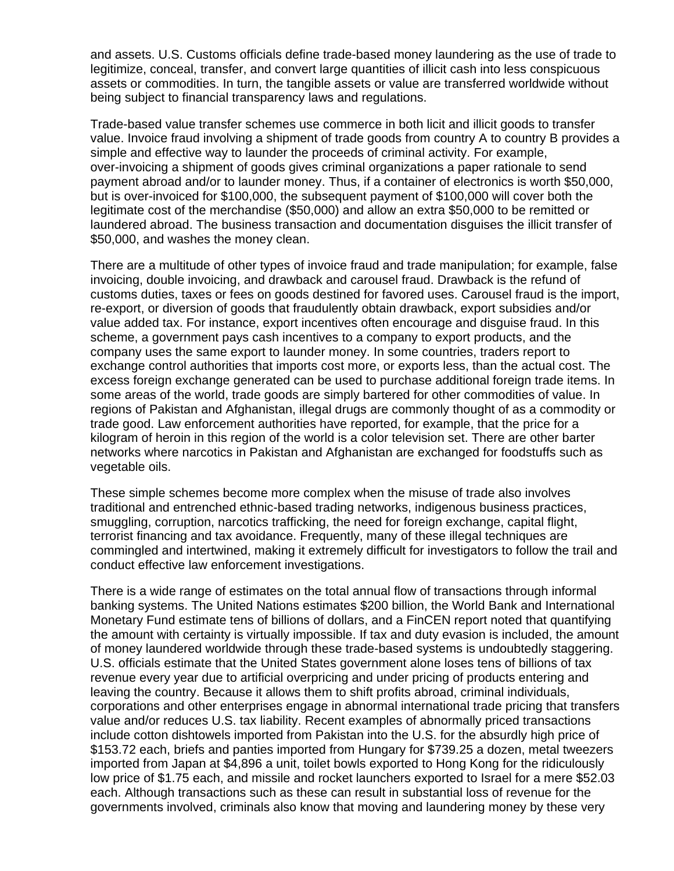and assets. U.S. Customs officials define trade-based money laundering as the use of trade to legitimize, conceal, transfer, and convert large quantities of illicit cash into less conspicuous assets or commodities. In turn, the tangible assets or value are transferred worldwide without being subject to financial transparency laws and regulations.

Trade-based value transfer schemes use commerce in both licit and illicit goods to transfer value. Invoice fraud involving a shipment of trade goods from country A to country B provides a simple and effective way to launder the proceeds of criminal activity. For example, over-invoicing a shipment of goods gives criminal organizations a paper rationale to send payment abroad and/or to launder money. Thus, if a container of electronics is worth \$50,000, but is over-invoiced for \$100,000, the subsequent payment of \$100,000 will cover both the legitimate cost of the merchandise (\$50,000) and allow an extra \$50,000 to be remitted or laundered abroad. The business transaction and documentation disguises the illicit transfer of \$50,000, and washes the money clean.

There are a multitude of other types of invoice fraud and trade manipulation; for example, false invoicing, double invoicing, and drawback and carousel fraud. Drawback is the refund of customs duties, taxes or fees on goods destined for favored uses. Carousel fraud is the import, re-export, or diversion of goods that fraudulently obtain drawback, export subsidies and/or value added tax. For instance, export incentives often encourage and disguise fraud. In this scheme, a government pays cash incentives to a company to export products, and the company uses the same export to launder money. In some countries, traders report to exchange control authorities that imports cost more, or exports less, than the actual cost. The excess foreign exchange generated can be used to purchase additional foreign trade items. In some areas of the world, trade goods are simply bartered for other commodities of value. In regions of Pakistan and Afghanistan, illegal drugs are commonly thought of as a commodity or trade good. Law enforcement authorities have reported, for example, that the price for a kilogram of heroin in this region of the world is a color television set. There are other barter networks where narcotics in Pakistan and Afghanistan are exchanged for foodstuffs such as vegetable oils.

These simple schemes become more complex when the misuse of trade also involves traditional and entrenched ethnic-based trading networks, indigenous business practices, smuggling, corruption, narcotics trafficking, the need for foreign exchange, capital flight, terrorist financing and tax avoidance. Frequently, many of these illegal techniques are commingled and intertwined, making it extremely difficult for investigators to follow the trail and conduct effective law enforcement investigations.

There is a wide range of estimates on the total annual flow of transactions through informal banking systems. The United Nations estimates \$200 billion, the World Bank and International Monetary Fund estimate tens of billions of dollars, and a FinCEN report noted that quantifying the amount with certainty is virtually impossible. If tax and duty evasion is included, the amount of money laundered worldwide through these trade-based systems is undoubtedly staggering. U.S. officials estimate that the United States government alone loses tens of billions of tax revenue every year due to artificial overpricing and under pricing of products entering and leaving the country. Because it allows them to shift profits abroad, criminal individuals, corporations and other enterprises engage in abnormal international trade pricing that transfers value and/or reduces U.S. tax liability. Recent examples of abnormally priced transactions include cotton dishtowels imported from Pakistan into the U.S. for the absurdly high price of \$153.72 each, briefs and panties imported from Hungary for \$739.25 a dozen, metal tweezers imported from Japan at \$4,896 a unit, toilet bowls exported to Hong Kong for the ridiculously low price of \$1.75 each, and missile and rocket launchers exported to Israel for a mere \$52.03 each. Although transactions such as these can result in substantial loss of revenue for the governments involved, criminals also know that moving and laundering money by these very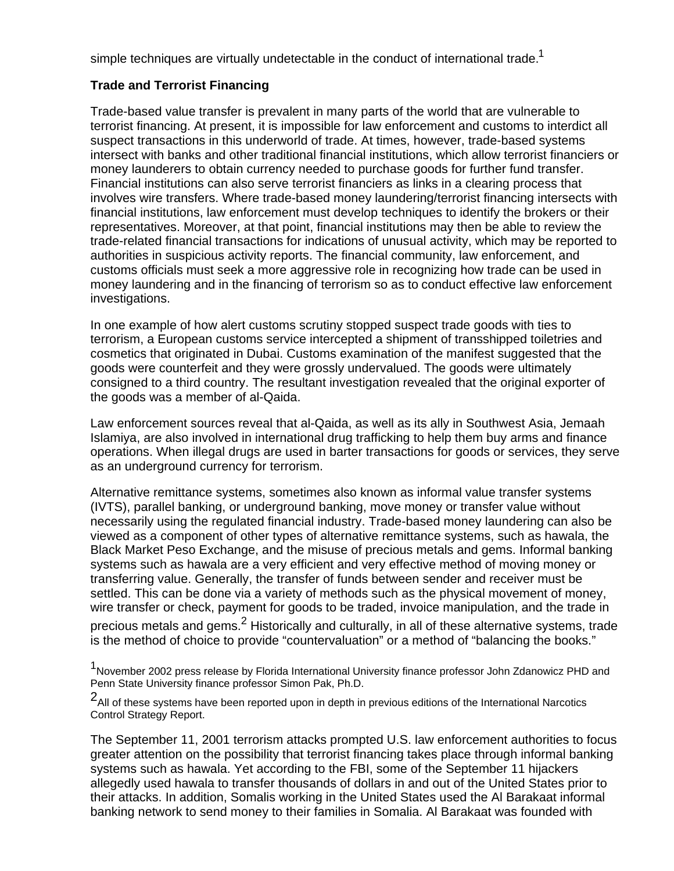simple techniques are virtually undetectable in the conduct of international trade.<sup>1</sup>

### **Trade and Terrorist Financing**

Trade-based value transfer is prevalent in many parts of the world that are vulnerable to terrorist financing. At present, it is impossible for law enforcement and customs to interdict all suspect transactions in this underworld of trade. At times, however, trade-based systems intersect with banks and other traditional financial institutions, which allow terrorist financiers or money launderers to obtain currency needed to purchase goods for further fund transfer. Financial institutions can also serve terrorist financiers as links in a clearing process that involves wire transfers. Where trade-based money laundering/terrorist financing intersects with financial institutions, law enforcement must develop techniques to identify the brokers or their representatives. Moreover, at that point, financial institutions may then be able to review the trade-related financial transactions for indications of unusual activity, which may be reported to authorities in suspicious activity reports. The financial community, law enforcement, and customs officials must seek a more aggressive role in recognizing how trade can be used in money laundering and in the financing of terrorism so as to conduct effective law enforcement investigations.

In one example of how alert customs scrutiny stopped suspect trade goods with ties to terrorism, a European customs service intercepted a shipment of transshipped toiletries and cosmetics that originated in Dubai. Customs examination of the manifest suggested that the goods were counterfeit and they were grossly undervalued. The goods were ultimately consigned to a third country. The resultant investigation revealed that the original exporter of the goods was a member of al-Qaida.

Law enforcement sources reveal that al-Qaida, as well as its ally in Southwest Asia, Jemaah Islamiya, are also involved in international drug trafficking to help them buy arms and finance operations. When illegal drugs are used in barter transactions for goods or services, they serve as an underground currency for terrorism.

Alternative remittance systems, sometimes also known as informal value transfer systems (IVTS), parallel banking, or underground banking, move money or transfer value without necessarily using the regulated financial industry. Trade-based money laundering can also be viewed as a component of other types of alternative remittance systems, such as hawala, the Black Market Peso Exchange, and the misuse of precious metals and gems. Informal banking systems such as hawala are a very efficient and very effective method of moving money or transferring value. Generally, the transfer of funds between sender and receiver must be settled. This can be done via a variety of methods such as the physical movement of money, wire transfer or check, payment for goods to be traded, invoice manipulation, and the trade in precious metals and gems. $^2$  Historically and culturally, in all of these alternative systems, trade is the method of choice to provide "countervaluation" or a method of "balancing the books."

<sup>1</sup>November 2002 press release by Florida International University finance professor John Zdanowicz PHD and Penn State University finance professor Simon Pak, Ph.D.

2All of these systems have been reported upon in depth in previous editions of the International Narcotics Control Strategy Report.

The September 11, 2001 terrorism attacks prompted U.S. law enforcement authorities to focus greater attention on the possibility that terrorist financing takes place through informal banking systems such as hawala. Yet according to the FBI, some of the September 11 hijackers allegedly used hawala to transfer thousands of dollars in and out of the United States prior to their attacks. In addition, Somalis working in the United States used the Al Barakaat informal banking network to send money to their families in Somalia. Al Barakaat was founded with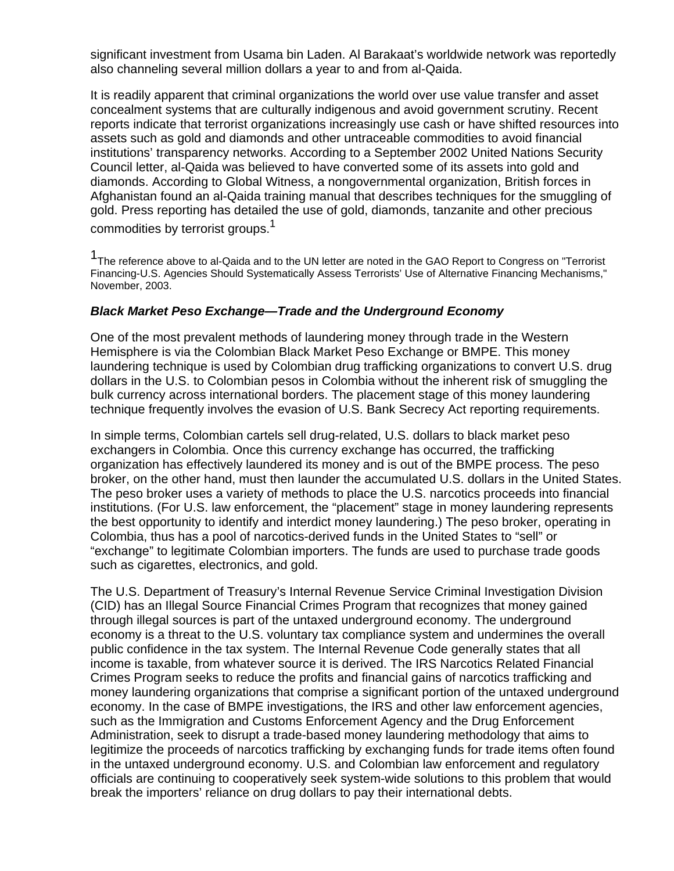significant investment from Usama bin Laden. Al Barakaat's worldwide network was reportedly also channeling several million dollars a year to and from al-Qaida.

It is readily apparent that criminal organizations the world over use value transfer and asset concealment systems that are culturally indigenous and avoid government scrutiny. Recent reports indicate that terrorist organizations increasingly use cash or have shifted resources into assets such as gold and diamonds and other untraceable commodities to avoid financial institutions' transparency networks. According to a September 2002 United Nations Security Council letter, al-Qaida was believed to have converted some of its assets into gold and diamonds. According to Global Witness, a nongovernmental organization, British forces in Afghanistan found an al-Qaida training manual that describes techniques for the smuggling of gold. Press reporting has detailed the use of gold, diamonds, tanzanite and other precious commodities by terrorist groups.<sup>1</sup>

1The reference above to al-Qaida and to the UN letter are noted in the GAO Report to Congress on "Terrorist" Financing-U.S. Agencies Should Systematically Assess Terrorists' Use of Alternative Financing Mechanisms," November, 2003.

#### *Black Market Peso Exchange—Trade and the Underground Economy*

One of the most prevalent methods of laundering money through trade in the Western Hemisphere is via the Colombian Black Market Peso Exchange or BMPE. This money laundering technique is used by Colombian drug trafficking organizations to convert U.S. drug dollars in the U.S. to Colombian pesos in Colombia without the inherent risk of smuggling the bulk currency across international borders. The placement stage of this money laundering technique frequently involves the evasion of U.S. Bank Secrecy Act reporting requirements.

In simple terms, Colombian cartels sell drug-related, U.S. dollars to black market peso exchangers in Colombia. Once this currency exchange has occurred, the trafficking organization has effectively laundered its money and is out of the BMPE process. The peso broker, on the other hand, must then launder the accumulated U.S. dollars in the United States. The peso broker uses a variety of methods to place the U.S. narcotics proceeds into financial institutions. (For U.S. law enforcement, the "placement" stage in money laundering represents the best opportunity to identify and interdict money laundering.) The peso broker, operating in Colombia, thus has a pool of narcotics-derived funds in the United States to "sell" or "exchange" to legitimate Colombian importers. The funds are used to purchase trade goods such as cigarettes, electronics, and gold.

The U.S. Department of Treasury's Internal Revenue Service Criminal Investigation Division (CID) has an Illegal Source Financial Crimes Program that recognizes that money gained through illegal sources is part of the untaxed underground economy. The underground economy is a threat to the U.S. voluntary tax compliance system and undermines the overall public confidence in the tax system. The Internal Revenue Code generally states that all income is taxable, from whatever source it is derived. The IRS Narcotics Related Financial Crimes Program seeks to reduce the profits and financial gains of narcotics trafficking and money laundering organizations that comprise a significant portion of the untaxed underground economy. In the case of BMPE investigations, the IRS and other law enforcement agencies, such as the Immigration and Customs Enforcement Agency and the Drug Enforcement Administration, seek to disrupt a trade-based money laundering methodology that aims to legitimize the proceeds of narcotics trafficking by exchanging funds for trade items often found in the untaxed underground economy. U.S. and Colombian law enforcement and regulatory officials are continuing to cooperatively seek system-wide solutions to this problem that would break the importers' reliance on drug dollars to pay their international debts.